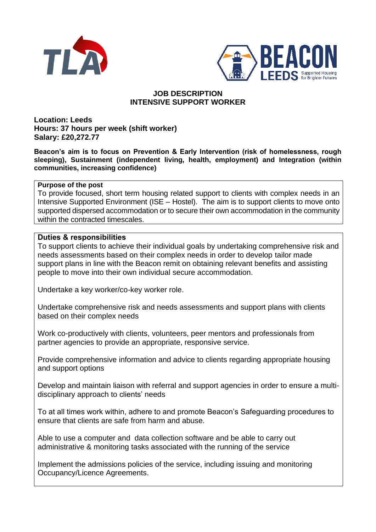



# **JOB DESCRIPTION INTENSIVE SUPPORT WORKER**

**Location: Leeds Hours: 37 hours per week (shift worker) Salary: £20,272.77** 

**Beacon's aim is to focus on Prevention & Early Intervention (risk of homelessness, rough sleeping), Sustainment (independent living, health, employment) and Integration (within communities, increasing confidence)**

### **Purpose of the post**

To provide focused, short term housing related support to clients with complex needs in an Intensive Supported Environment (ISE – Hostel). The aim is to support clients to move onto supported dispersed accommodation or to secure their own accommodation in the community within the contracted timescales.

### **Duties & responsibilities**

To support clients to achieve their individual goals by undertaking comprehensive risk and needs assessments based on their complex needs in order to develop tailor made support plans in line with the Beacon remit on obtaining relevant benefits and assisting people to move into their own individual secure accommodation.

Undertake a key worker/co-key worker role.

Undertake comprehensive risk and needs assessments and support plans with clients based on their complex needs

Work co-productively with clients, volunteers, peer mentors and professionals from partner agencies to provide an appropriate, responsive service.

Provide comprehensive information and advice to clients regarding appropriate housing and support options

Develop and maintain liaison with referral and support agencies in order to ensure a multidisciplinary approach to clients' needs

To at all times work within, adhere to and promote Beacon's Safeguarding procedures to ensure that clients are safe from harm and abuse.

Able to use a computer and data collection software and be able to carry out administrative & monitoring tasks associated with the running of the service

Implement the admissions policies of the service, including issuing and monitoring Occupancy/Licence Agreements.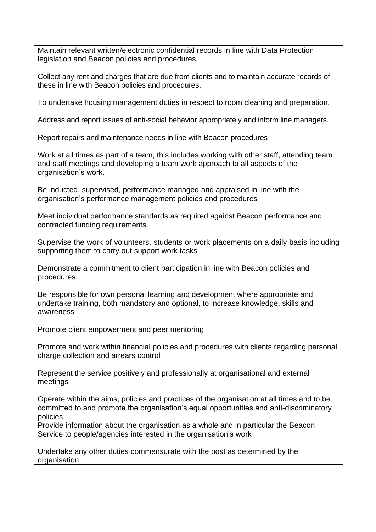Maintain relevant written/electronic confidential records in line with Data Protection legislation and Beacon policies and procedures.

Collect any rent and charges that are due from clients and to maintain accurate records of these in line with Beacon policies and procedures.

To undertake housing management duties in respect to room cleaning and preparation.

Address and report issues of anti-social behavior appropriately and inform line managers.

Report repairs and maintenance needs in line with Beacon procedures

Work at all times as part of a team, this includes working with other staff, attending team and staff meetings and developing a team work approach to all aspects of the organisation's work.

Be inducted, supervised, performance managed and appraised in line with the organisation's performance management policies and procedures

Meet individual performance standards as required against Beacon performance and contracted funding requirements.

Supervise the work of volunteers, students or work placements on a daily basis including supporting them to carry out support work tasks

Demonstrate a commitment to client participation in line with Beacon policies and procedures.

Be responsible for own personal learning and development where appropriate and undertake training, both mandatory and optional, to increase knowledge, skills and awareness

Promote client empowerment and peer mentoring

Promote and work within financial policies and procedures with clients regarding personal charge collection and arrears control

Represent the service positively and professionally at organisational and external meetings

Operate within the aims, policies and practices of the organisation at all times and to be committed to and promote the organisation's equal opportunities and anti-discriminatory policies

Provide information about the organisation as a whole and in particular the Beacon Service to people/agencies interested in the organisation's work

Undertake any other duties commensurate with the post as determined by the organisation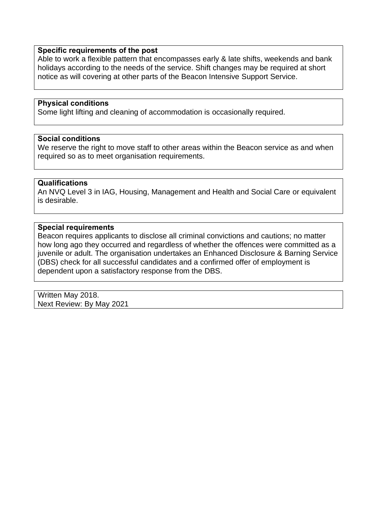#### **Specific requirements of the post**

Able to work a flexible pattern that encompasses early & late shifts, weekends and bank holidays according to the needs of the service. Shift changes may be required at short notice as will covering at other parts of the Beacon Intensive Support Service.

### **Physical conditions**

Some light lifting and cleaning of accommodation is occasionally required.

### **Social conditions**

We reserve the right to move staff to other areas within the Beacon service as and when required so as to meet organisation requirements.

### **Qualifications**

An NVQ Level 3 in IAG, Housing, Management and Health and Social Care or equivalent is desirable.

### **Special requirements**

Beacon requires applicants to disclose all criminal convictions and cautions; no matter how long ago they occurred and regardless of whether the offences were committed as a juvenile or adult. The organisation undertakes an Enhanced Disclosure & Barning Service (DBS) check for all successful candidates and a confirmed offer of employment is dependent upon a satisfactory response from the DBS.

Written May 2018. Next Review: By May 2021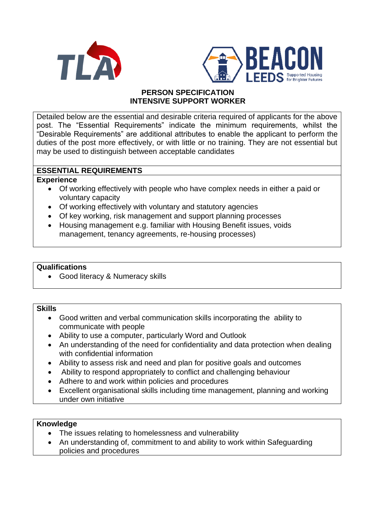



## **PERSON SPECIFICATION INTENSIVE SUPPORT WORKER**

Detailed below are the essential and desirable criteria required of applicants for the above post. The "Essential Requirements" indicate the minimum requirements, whilst the "Desirable Requirements" are additional attributes to enable the applicant to perform the duties of the post more effectively, or with little or no training. They are not essential but may be used to distinguish between acceptable candidates

## **ESSENTIAL REQUIREMENTS**

### **Experience**

- Of working effectively with people who have complex needs in either a paid or voluntary capacity
- Of working effectively with voluntary and statutory agencies
- Of key working, risk management and support planning processes
- Housing management e.g. familiar with Housing Benefit issues, voids management, tenancy agreements, re-housing processes)

## **Qualifications**

• Good literacy & Numeracy skills

### **Skills**

- Good written and verbal communication skills incorporating the ability to communicate with people
- Ability to use a computer, particularly Word and Outlook
- An understanding of the need for confidentiality and data protection when dealing with confidential information
- Ability to assess risk and need and plan for positive goals and outcomes
- Ability to respond appropriately to conflict and challenging behaviour
- Adhere to and work within policies and procedures
- Excellent organisational skills including time management, planning and working under own initiative

### **Knowledge**

- The issues relating to homelessness and vulnerability
- An understanding of, commitment to and ability to work within Safeguarding policies and procedures